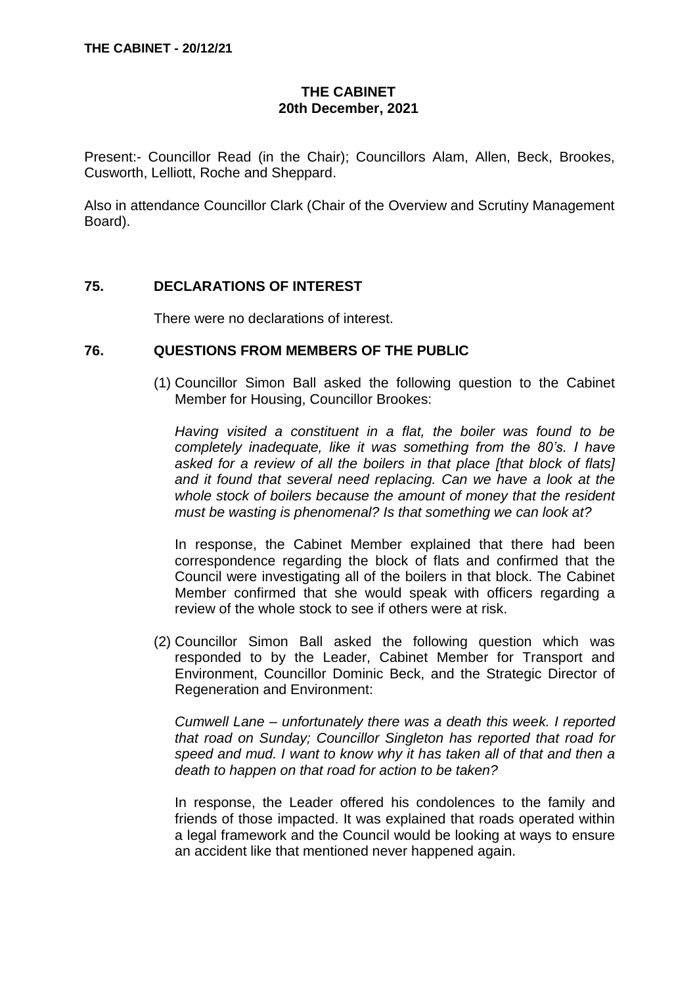# **THE CABINET 20th December, 2021**

Present:- Councillor Read (in the Chair); Councillors Alam, Allen, Beck, Brookes, Cusworth, Lelliott, Roche and Sheppard.

Also in attendance Councillor Clark (Chair of the Overview and Scrutiny Management Board).

### **75. DECLARATIONS OF INTEREST**

There were no declarations of interest.

#### **76. QUESTIONS FROM MEMBERS OF THE PUBLIC**

(1) Councillor Simon Ball asked the following question to the Cabinet Member for Housing, Councillor Brookes:

*Having visited a constituent in a flat, the boiler was found to be completely inadequate, like it was something from the 80's. I have asked for a review of all the boilers in that place [that block of flats] and it found that several need replacing. Can we have a look at the whole stock of boilers because the amount of money that the resident must be wasting is phenomenal? Is that something we can look at?*

In response, the Cabinet Member explained that there had been correspondence regarding the block of flats and confirmed that the Council were investigating all of the boilers in that block. The Cabinet Member confirmed that she would speak with officers regarding a review of the whole stock to see if others were at risk.

(2) Councillor Simon Ball asked the following question which was responded to by the Leader, Cabinet Member for Transport and Environment, Councillor Dominic Beck, and the Strategic Director of Regeneration and Environment:

*Cumwell Lane – unfortunately there was a death this week. I reported that road on Sunday; Councillor Singleton has reported that road for speed and mud. I want to know why it has taken all of that and then a death to happen on that road for action to be taken?* 

In response, the Leader offered his condolences to the family and friends of those impacted. It was explained that roads operated within a legal framework and the Council would be looking at ways to ensure an accident like that mentioned never happened again.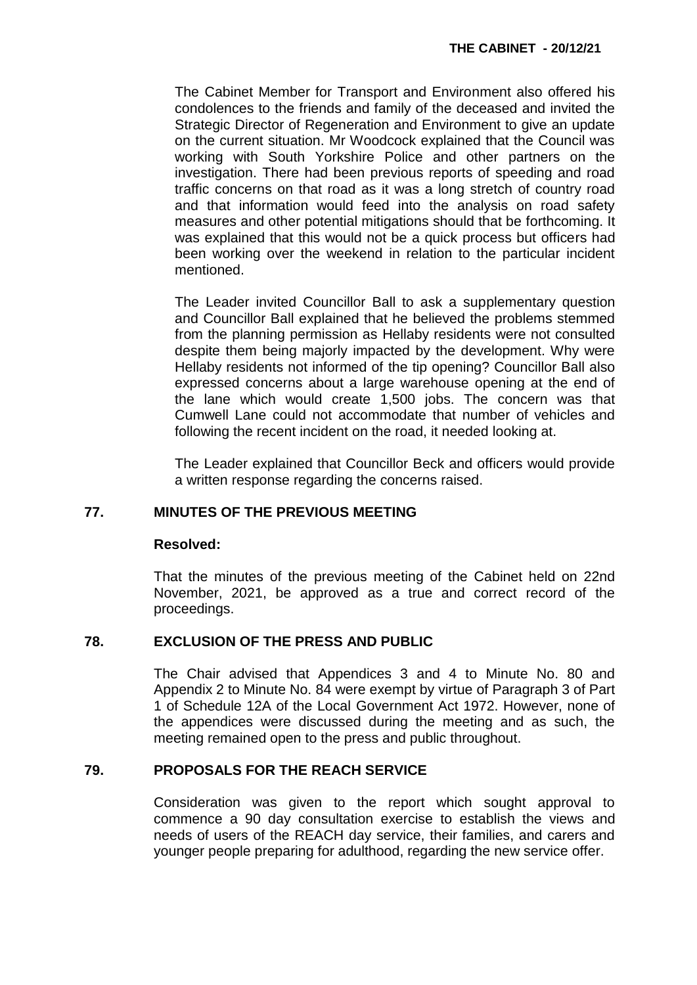The Cabinet Member for Transport and Environment also offered his condolences to the friends and family of the deceased and invited the Strategic Director of Regeneration and Environment to give an update on the current situation. Mr Woodcock explained that the Council was working with South Yorkshire Police and other partners on the investigation. There had been previous reports of speeding and road traffic concerns on that road as it was a long stretch of country road and that information would feed into the analysis on road safety measures and other potential mitigations should that be forthcoming. It was explained that this would not be a quick process but officers had been working over the weekend in relation to the particular incident mentioned.

The Leader invited Councillor Ball to ask a supplementary question and Councillor Ball explained that he believed the problems stemmed from the planning permission as Hellaby residents were not consulted despite them being majorly impacted by the development. Why were Hellaby residents not informed of the tip opening? Councillor Ball also expressed concerns about a large warehouse opening at the end of the lane which would create 1,500 jobs. The concern was that Cumwell Lane could not accommodate that number of vehicles and following the recent incident on the road, it needed looking at.

The Leader explained that Councillor Beck and officers would provide a written response regarding the concerns raised.

# **77. MINUTES OF THE PREVIOUS MEETING**

#### **Resolved:**

That the minutes of the previous meeting of the Cabinet held on 22nd November, 2021, be approved as a true and correct record of the proceedings.

## **78. EXCLUSION OF THE PRESS AND PUBLIC**

The Chair advised that Appendices 3 and 4 to Minute No. 80 and Appendix 2 to Minute No. 84 were exempt by virtue of Paragraph 3 of Part 1 of Schedule 12A of the Local Government Act 1972. However, none of the appendices were discussed during the meeting and as such, the meeting remained open to the press and public throughout.

## **79. PROPOSALS FOR THE REACH SERVICE**

Consideration was given to the report which sought approval to commence a 90 day consultation exercise to establish the views and needs of users of the REACH day service, their families, and carers and younger people preparing for adulthood, regarding the new service offer.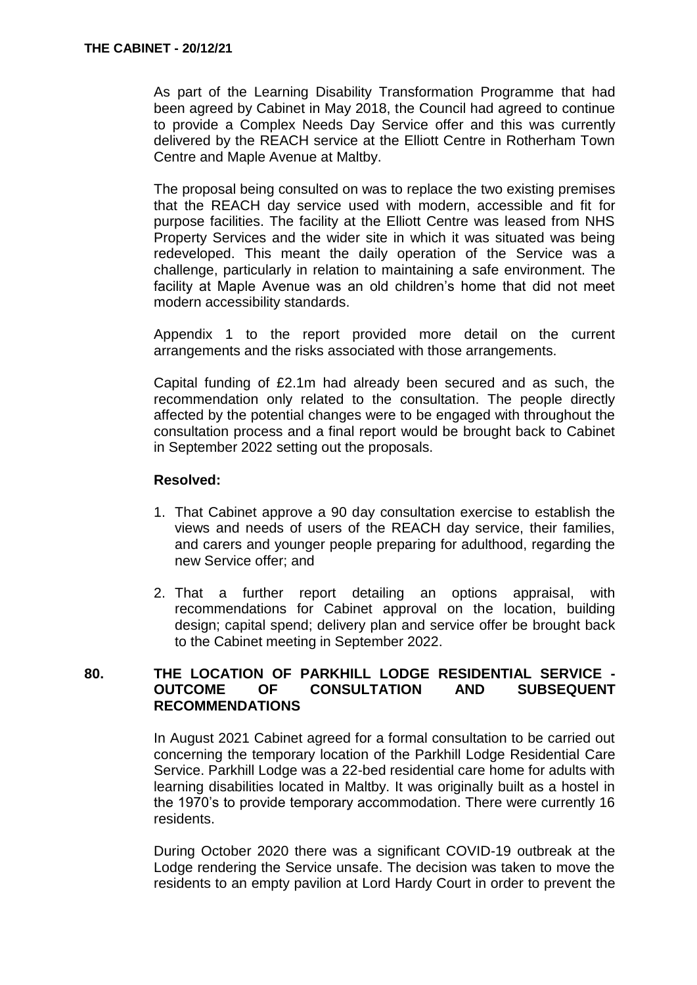As part of the Learning Disability Transformation Programme that had been agreed by Cabinet in May 2018, the Council had agreed to continue to provide a Complex Needs Day Service offer and this was currently delivered by the REACH service at the Elliott Centre in Rotherham Town Centre and Maple Avenue at Maltby.

The proposal being consulted on was to replace the two existing premises that the REACH day service used with modern, accessible and fit for purpose facilities. The facility at the Elliott Centre was leased from NHS Property Services and the wider site in which it was situated was being redeveloped. This meant the daily operation of the Service was a challenge, particularly in relation to maintaining a safe environment. The facility at Maple Avenue was an old children's home that did not meet modern accessibility standards.

Appendix 1 to the report provided more detail on the current arrangements and the risks associated with those arrangements.

Capital funding of £2.1m had already been secured and as such, the recommendation only related to the consultation. The people directly affected by the potential changes were to be engaged with throughout the consultation process and a final report would be brought back to Cabinet in September 2022 setting out the proposals.

#### **Resolved:**

- 1. That Cabinet approve a 90 day consultation exercise to establish the views and needs of users of the REACH day service, their families, and carers and younger people preparing for adulthood, regarding the new Service offer; and
- 2. That a further report detailing an options appraisal, with recommendations for Cabinet approval on the location, building design; capital spend; delivery plan and service offer be brought back to the Cabinet meeting in September 2022.

### **80. THE LOCATION OF PARKHILL LODGE RESIDENTIAL SERVICE - OUTCOME OF CONSULTATION AND SUBSEQUENT RECOMMENDATIONS**

In August 2021 Cabinet agreed for a formal consultation to be carried out concerning the temporary location of the Parkhill Lodge Residential Care Service. Parkhill Lodge was a 22-bed residential care home for adults with learning disabilities located in Maltby. It was originally built as a hostel in the 1970's to provide temporary accommodation. There were currently 16 residents.

During October 2020 there was a significant COVID-19 outbreak at the Lodge rendering the Service unsafe. The decision was taken to move the residents to an empty pavilion at Lord Hardy Court in order to prevent the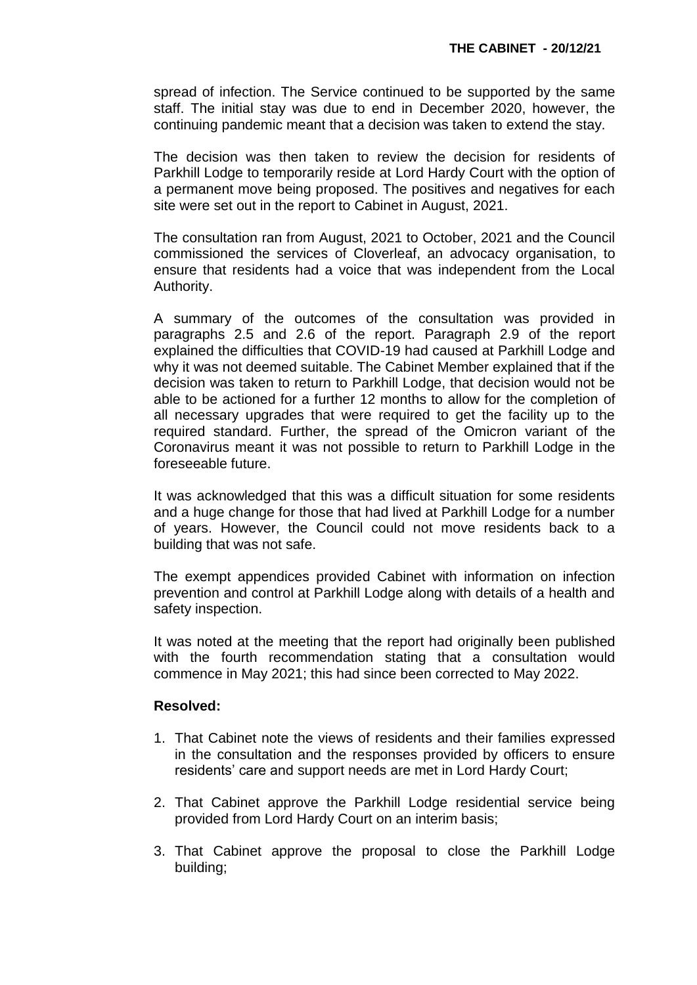spread of infection. The Service continued to be supported by the same staff. The initial stay was due to end in December 2020, however, the continuing pandemic meant that a decision was taken to extend the stay.

The decision was then taken to review the decision for residents of Parkhill Lodge to temporarily reside at Lord Hardy Court with the option of a permanent move being proposed. The positives and negatives for each site were set out in the report to Cabinet in August, 2021.

The consultation ran from August, 2021 to October, 2021 and the Council commissioned the services of Cloverleaf, an advocacy organisation, to ensure that residents had a voice that was independent from the Local Authority.

A summary of the outcomes of the consultation was provided in paragraphs 2.5 and 2.6 of the report. Paragraph 2.9 of the report explained the difficulties that COVID-19 had caused at Parkhill Lodge and why it was not deemed suitable. The Cabinet Member explained that if the decision was taken to return to Parkhill Lodge, that decision would not be able to be actioned for a further 12 months to allow for the completion of all necessary upgrades that were required to get the facility up to the required standard. Further, the spread of the Omicron variant of the Coronavirus meant it was not possible to return to Parkhill Lodge in the foreseeable future.

It was acknowledged that this was a difficult situation for some residents and a huge change for those that had lived at Parkhill Lodge for a number of years. However, the Council could not move residents back to a building that was not safe.

The exempt appendices provided Cabinet with information on infection prevention and control at Parkhill Lodge along with details of a health and safety inspection.

It was noted at the meeting that the report had originally been published with the fourth recommendation stating that a consultation would commence in May 2021; this had since been corrected to May 2022.

## **Resolved:**

- 1. That Cabinet note the views of residents and their families expressed in the consultation and the responses provided by officers to ensure residents' care and support needs are met in Lord Hardy Court;
- 2. That Cabinet approve the Parkhill Lodge residential service being provided from Lord Hardy Court on an interim basis;
- 3. That Cabinet approve the proposal to close the Parkhill Lodge building;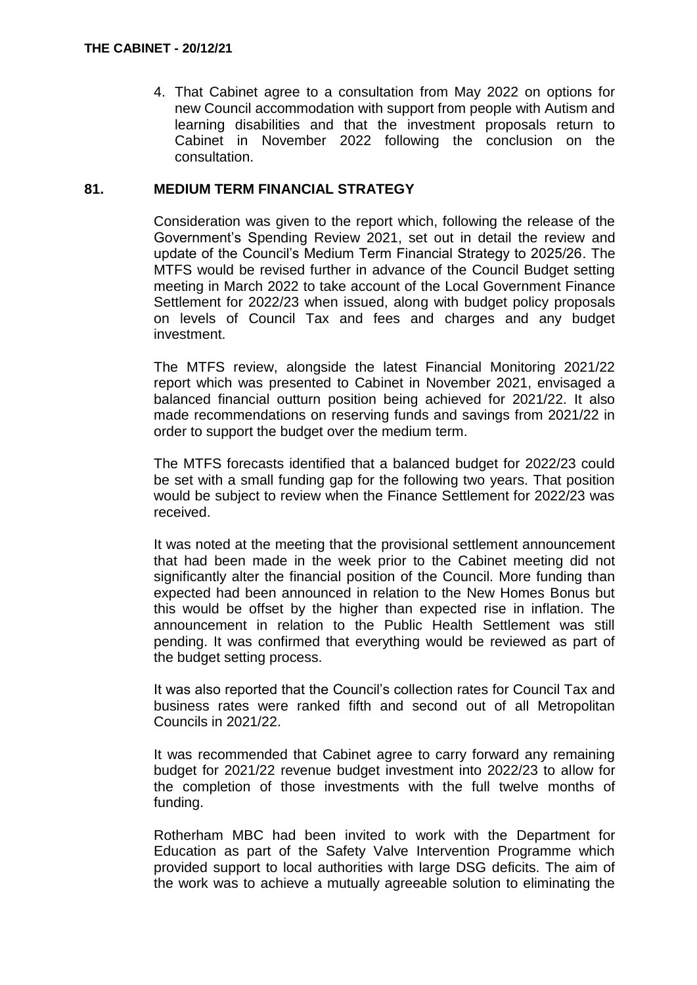4. That Cabinet agree to a consultation from May 2022 on options for new Council accommodation with support from people with Autism and learning disabilities and that the investment proposals return to Cabinet in November 2022 following the conclusion on the consultation.

## **81. MEDIUM TERM FINANCIAL STRATEGY**

Consideration was given to the report which, following the release of the Government's Spending Review 2021, set out in detail the review and update of the Council's Medium Term Financial Strategy to 2025/26. The MTFS would be revised further in advance of the Council Budget setting meeting in March 2022 to take account of the Local Government Finance Settlement for 2022/23 when issued, along with budget policy proposals on levels of Council Tax and fees and charges and any budget investment.

The MTFS review, alongside the latest Financial Monitoring 2021/22 report which was presented to Cabinet in November 2021, envisaged a balanced financial outturn position being achieved for 2021/22. It also made recommendations on reserving funds and savings from 2021/22 in order to support the budget over the medium term.

The MTFS forecasts identified that a balanced budget for 2022/23 could be set with a small funding gap for the following two years. That position would be subject to review when the Finance Settlement for 2022/23 was received.

It was noted at the meeting that the provisional settlement announcement that had been made in the week prior to the Cabinet meeting did not significantly alter the financial position of the Council. More funding than expected had been announced in relation to the New Homes Bonus but this would be offset by the higher than expected rise in inflation. The announcement in relation to the Public Health Settlement was still pending. It was confirmed that everything would be reviewed as part of the budget setting process.

It was also reported that the Council's collection rates for Council Tax and business rates were ranked fifth and second out of all Metropolitan Councils in 2021/22.

It was recommended that Cabinet agree to carry forward any remaining budget for 2021/22 revenue budget investment into 2022/23 to allow for the completion of those investments with the full twelve months of funding.

Rotherham MBC had been invited to work with the Department for Education as part of the Safety Valve Intervention Programme which provided support to local authorities with large DSG deficits. The aim of the work was to achieve a mutually agreeable solution to eliminating the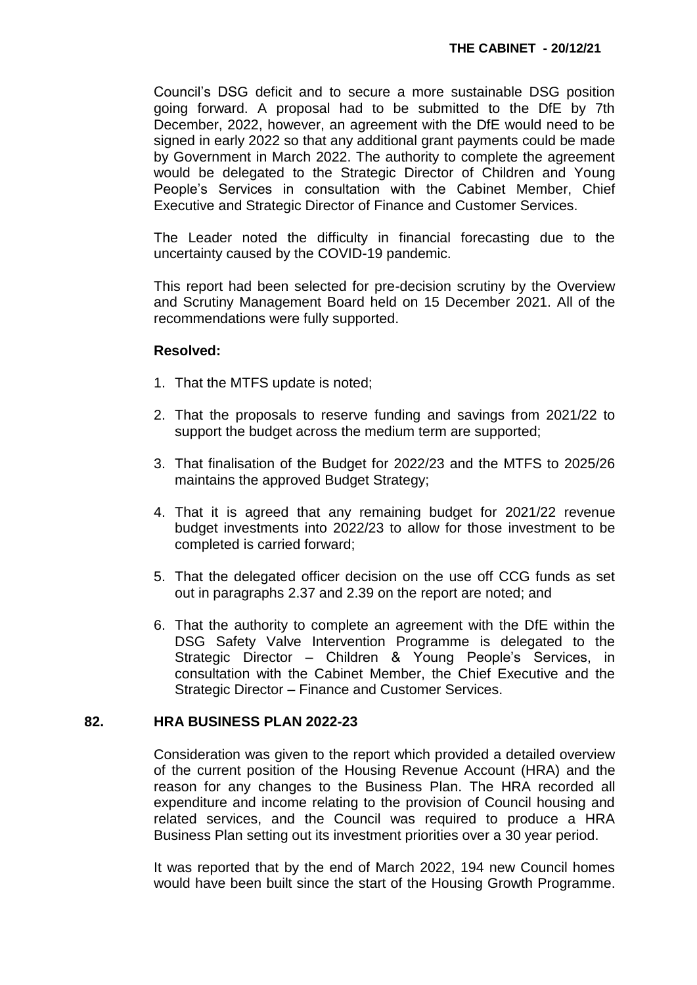Council's DSG deficit and to secure a more sustainable DSG position going forward. A proposal had to be submitted to the DfE by 7th December, 2022, however, an agreement with the DfE would need to be signed in early 2022 so that any additional grant payments could be made by Government in March 2022. The authority to complete the agreement would be delegated to the Strategic Director of Children and Young People's Services in consultation with the Cabinet Member, Chief Executive and Strategic Director of Finance and Customer Services.

The Leader noted the difficulty in financial forecasting due to the uncertainty caused by the COVID-19 pandemic.

This report had been selected for pre-decision scrutiny by the Overview and Scrutiny Management Board held on 15 December 2021. All of the recommendations were fully supported.

#### **Resolved:**

- 1. That the MTFS update is noted;
- 2. That the proposals to reserve funding and savings from 2021/22 to support the budget across the medium term are supported;
- 3. That finalisation of the Budget for 2022/23 and the MTFS to 2025/26 maintains the approved Budget Strategy;
- 4. That it is agreed that any remaining budget for 2021/22 revenue budget investments into 2022/23 to allow for those investment to be completed is carried forward;
- 5. That the delegated officer decision on the use off CCG funds as set out in paragraphs 2.37 and 2.39 on the report are noted; and
- 6. That the authority to complete an agreement with the DfE within the DSG Safety Valve Intervention Programme is delegated to the Strategic Director – Children & Young People's Services, in consultation with the Cabinet Member, the Chief Executive and the Strategic Director – Finance and Customer Services.

#### **82. HRA BUSINESS PLAN 2022-23**

Consideration was given to the report which provided a detailed overview of the current position of the Housing Revenue Account (HRA) and the reason for any changes to the Business Plan. The HRA recorded all expenditure and income relating to the provision of Council housing and related services, and the Council was required to produce a HRA Business Plan setting out its investment priorities over a 30 year period.

It was reported that by the end of March 2022, 194 new Council homes would have been built since the start of the Housing Growth Programme.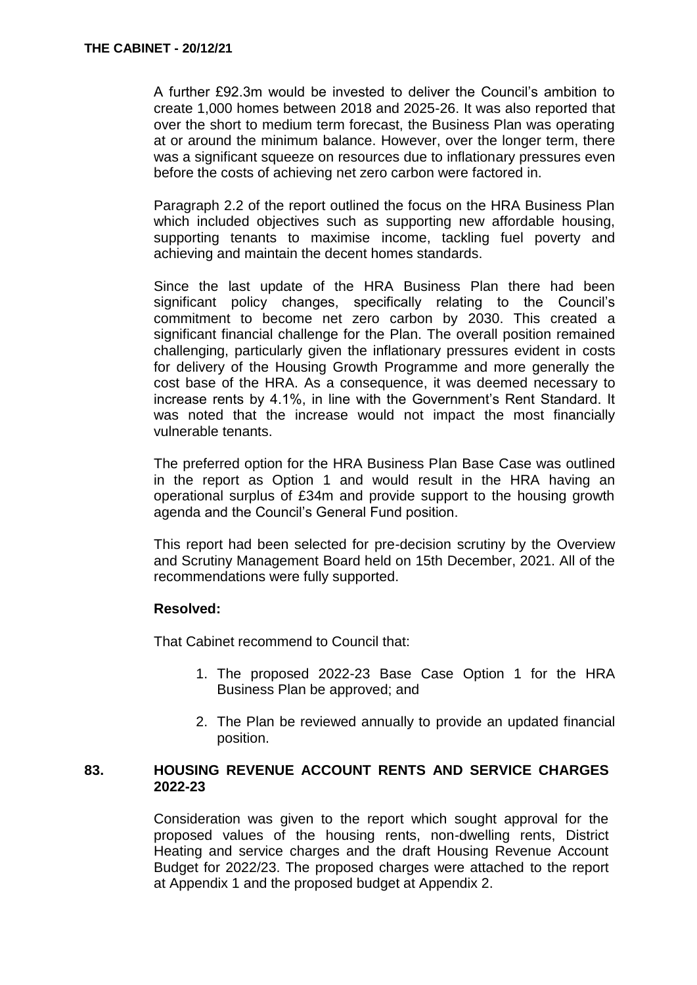A further £92.3m would be invested to deliver the Council's ambition to create 1,000 homes between 2018 and 2025-26. It was also reported that over the short to medium term forecast, the Business Plan was operating at or around the minimum balance. However, over the longer term, there was a significant squeeze on resources due to inflationary pressures even before the costs of achieving net zero carbon were factored in.

Paragraph 2.2 of the report outlined the focus on the HRA Business Plan which included objectives such as supporting new affordable housing, supporting tenants to maximise income, tackling fuel poverty and achieving and maintain the decent homes standards.

Since the last update of the HRA Business Plan there had been significant policy changes, specifically relating to the Council's commitment to become net zero carbon by 2030. This created a significant financial challenge for the Plan. The overall position remained challenging, particularly given the inflationary pressures evident in costs for delivery of the Housing Growth Programme and more generally the cost base of the HRA. As a consequence, it was deemed necessary to increase rents by 4.1%, in line with the Government's Rent Standard. It was noted that the increase would not impact the most financially vulnerable tenants.

The preferred option for the HRA Business Plan Base Case was outlined in the report as Option 1 and would result in the HRA having an operational surplus of £34m and provide support to the housing growth agenda and the Council's General Fund position.

This report had been selected for pre-decision scrutiny by the Overview and Scrutiny Management Board held on 15th December, 2021. All of the recommendations were fully supported.

#### **Resolved:**

That Cabinet recommend to Council that:

- 1. The proposed 2022-23 Base Case Option 1 for the HRA Business Plan be approved; and
- 2. The Plan be reviewed annually to provide an updated financial position.

### **83. HOUSING REVENUE ACCOUNT RENTS AND SERVICE CHARGES 2022-23**

Consideration was given to the report which sought approval for the proposed values of the housing rents, non-dwelling rents, District Heating and service charges and the draft Housing Revenue Account Budget for 2022/23. The proposed charges were attached to the report at Appendix 1 and the proposed budget at Appendix 2.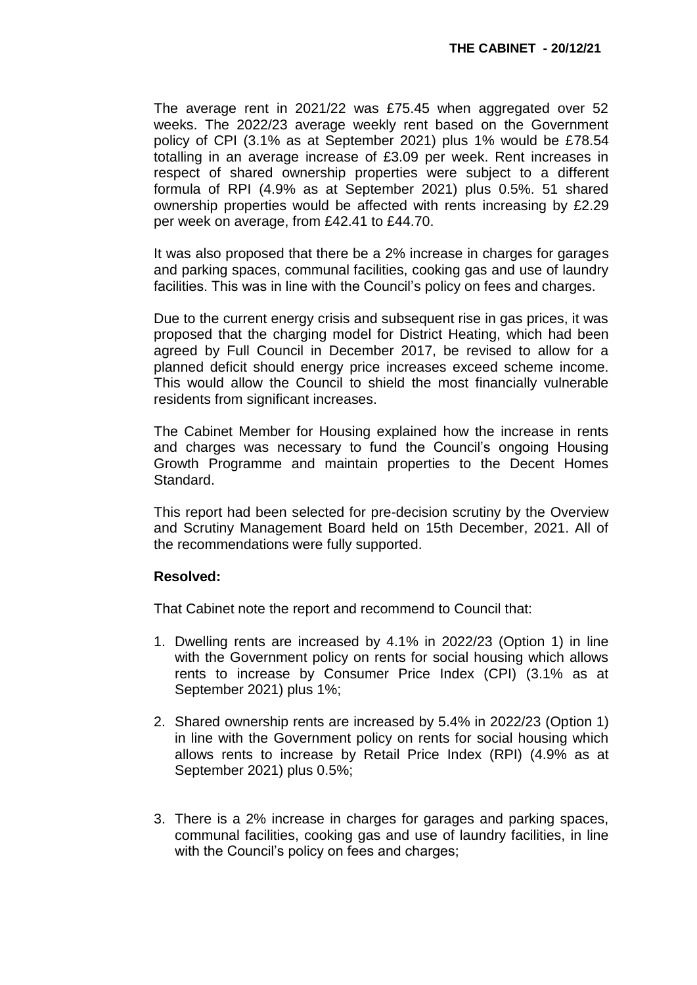The average rent in 2021/22 was £75.45 when aggregated over 52 weeks. The 2022/23 average weekly rent based on the Government policy of CPI (3.1% as at September 2021) plus 1% would be £78.54 totalling in an average increase of £3.09 per week. Rent increases in respect of shared ownership properties were subject to a different formula of RPI (4.9% as at September 2021) plus 0.5%. 51 shared ownership properties would be affected with rents increasing by £2.29 per week on average, from £42.41 to £44.70.

It was also proposed that there be a 2% increase in charges for garages and parking spaces, communal facilities, cooking gas and use of laundry facilities. This was in line with the Council's policy on fees and charges.

Due to the current energy crisis and subsequent rise in gas prices, it was proposed that the charging model for District Heating, which had been agreed by Full Council in December 2017, be revised to allow for a planned deficit should energy price increases exceed scheme income. This would allow the Council to shield the most financially vulnerable residents from significant increases.

The Cabinet Member for Housing explained how the increase in rents and charges was necessary to fund the Council's ongoing Housing Growth Programme and maintain properties to the Decent Homes Standard.

This report had been selected for pre-decision scrutiny by the Overview and Scrutiny Management Board held on 15th December, 2021. All of the recommendations were fully supported.

#### **Resolved:**

That Cabinet note the report and recommend to Council that:

- 1. Dwelling rents are increased by 4.1% in 2022/23 (Option 1) in line with the Government policy on rents for social housing which allows rents to increase by Consumer Price Index (CPI) (3.1% as at September 2021) plus 1%;
- 2. Shared ownership rents are increased by 5.4% in 2022/23 (Option 1) in line with the Government policy on rents for social housing which allows rents to increase by Retail Price Index (RPI) (4.9% as at September 2021) plus 0.5%;
- 3. There is a 2% increase in charges for garages and parking spaces, communal facilities, cooking gas and use of laundry facilities, in line with the Council's policy on fees and charges;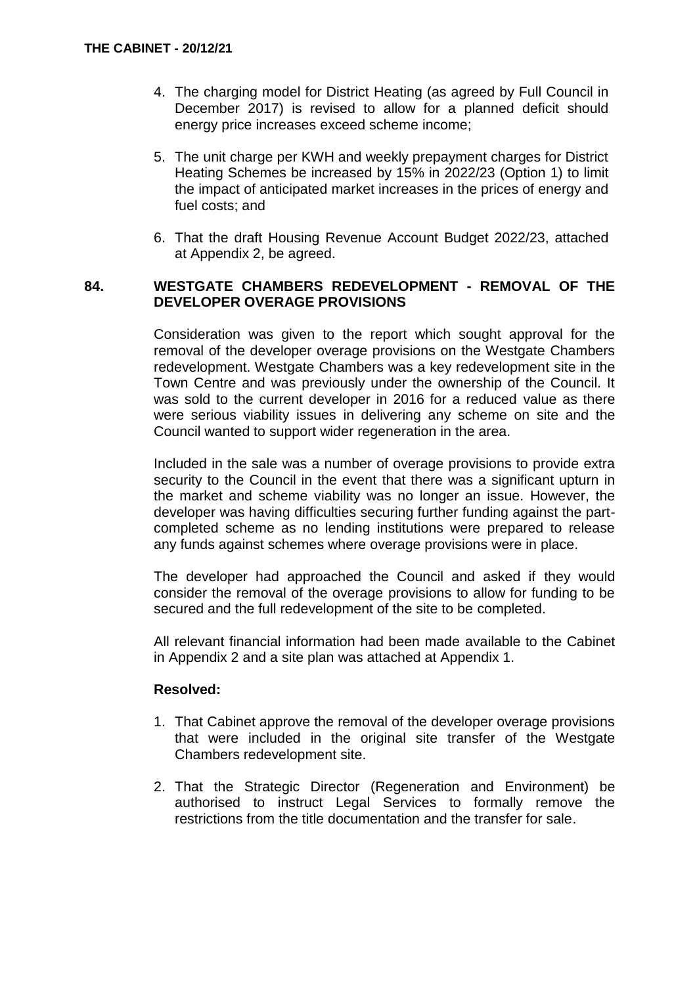- 4. The charging model for District Heating (as agreed by Full Council in December 2017) is revised to allow for a planned deficit should energy price increases exceed scheme income;
- 5. The unit charge per KWH and weekly prepayment charges for District Heating Schemes be increased by 15% in 2022/23 (Option 1) to limit the impact of anticipated market increases in the prices of energy and fuel costs; and
- 6. That the draft Housing Revenue Account Budget 2022/23, attached at Appendix 2, be agreed.

### **84. WESTGATE CHAMBERS REDEVELOPMENT - REMOVAL OF THE DEVELOPER OVERAGE PROVISIONS**

Consideration was given to the report which sought approval for the removal of the developer overage provisions on the Westgate Chambers redevelopment. Westgate Chambers was a key redevelopment site in the Town Centre and was previously under the ownership of the Council. It was sold to the current developer in 2016 for a reduced value as there were serious viability issues in delivering any scheme on site and the Council wanted to support wider regeneration in the area.

Included in the sale was a number of overage provisions to provide extra security to the Council in the event that there was a significant upturn in the market and scheme viability was no longer an issue. However, the developer was having difficulties securing further funding against the partcompleted scheme as no lending institutions were prepared to release any funds against schemes where overage provisions were in place.

The developer had approached the Council and asked if they would consider the removal of the overage provisions to allow for funding to be secured and the full redevelopment of the site to be completed.

All relevant financial information had been made available to the Cabinet in Appendix 2 and a site plan was attached at Appendix 1.

## **Resolved:**

- 1. That Cabinet approve the removal of the developer overage provisions that were included in the original site transfer of the Westgate Chambers redevelopment site.
- 2. That the Strategic Director (Regeneration and Environment) be authorised to instruct Legal Services to formally remove the restrictions from the title documentation and the transfer for sale.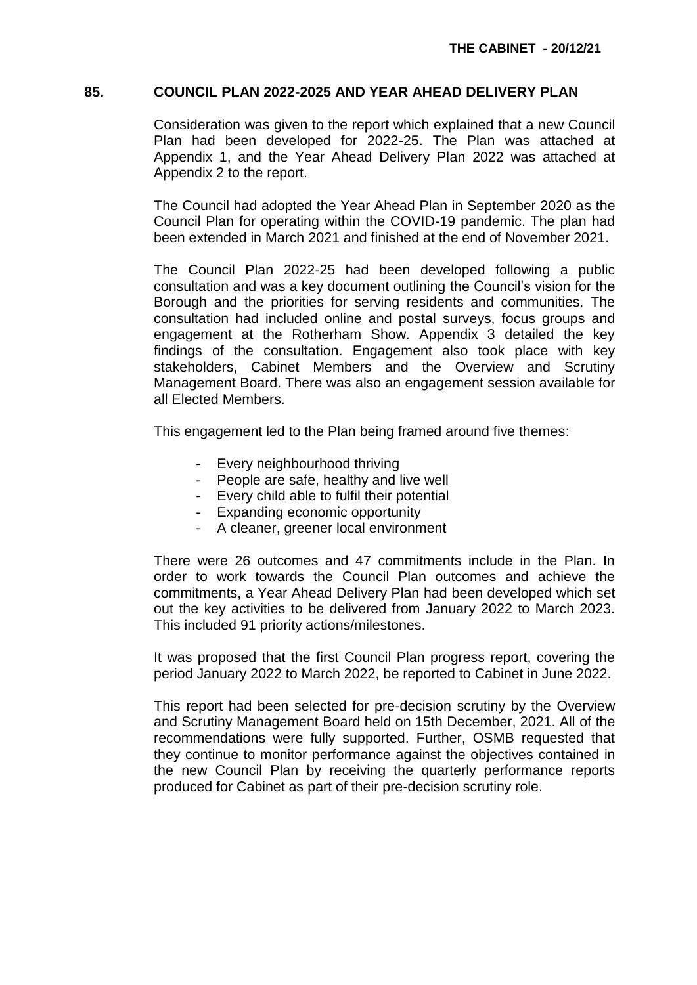### **85. COUNCIL PLAN 2022-2025 AND YEAR AHEAD DELIVERY PLAN**

Consideration was given to the report which explained that a new Council Plan had been developed for 2022-25. The Plan was attached at Appendix 1, and the Year Ahead Delivery Plan 2022 was attached at Appendix 2 to the report.

The Council had adopted the Year Ahead Plan in September 2020 as the Council Plan for operating within the COVID-19 pandemic. The plan had been extended in March 2021 and finished at the end of November 2021.

The Council Plan 2022-25 had been developed following a public consultation and was a key document outlining the Council's vision for the Borough and the priorities for serving residents and communities. The consultation had included online and postal surveys, focus groups and engagement at the Rotherham Show. Appendix 3 detailed the key findings of the consultation. Engagement also took place with key stakeholders, Cabinet Members and the Overview and Scrutiny Management Board. There was also an engagement session available for all Elected Members.

This engagement led to the Plan being framed around five themes:

- Every neighbourhood thriving
- People are safe, healthy and live well
- Every child able to fulfil their potential
- Expanding economic opportunity
- A cleaner, greener local environment

There were 26 outcomes and 47 commitments include in the Plan. In order to work towards the Council Plan outcomes and achieve the commitments, a Year Ahead Delivery Plan had been developed which set out the key activities to be delivered from January 2022 to March 2023. This included 91 priority actions/milestones.

It was proposed that the first Council Plan progress report, covering the period January 2022 to March 2022, be reported to Cabinet in June 2022.

This report had been selected for pre-decision scrutiny by the Overview and Scrutiny Management Board held on 15th December, 2021. All of the recommendations were fully supported. Further, OSMB requested that they continue to monitor performance against the objectives contained in the new Council Plan by receiving the quarterly performance reports produced for Cabinet as part of their pre-decision scrutiny role.